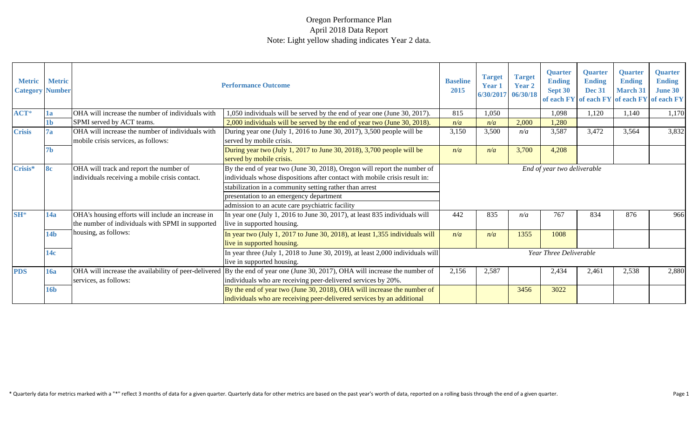| <b>Metric</b><br><b>Category Number</b> | <b>Metric</b>   |                                                                                                       | <b>Performance Outcome</b>                                                                                                                                                                    | <b>Baseline</b><br>2015 | <b>Target</b><br><b>Year 1</b><br>6/30/2017 06/30/18 | <b>Target</b><br>Year 2 | <b>Quarter</b><br><b>Ending</b><br>Sept 30 | <b>Quarter</b><br><b>Ending</b><br><b>Dec 31</b> | <b>Quarter</b><br><b>Ending</b><br><b>March 31</b> | <b>Quarter</b><br><b>Ending</b><br><b>June 30</b><br>of each FY of each FY of each FY of each FY |
|-----------------------------------------|-----------------|-------------------------------------------------------------------------------------------------------|-----------------------------------------------------------------------------------------------------------------------------------------------------------------------------------------------|-------------------------|------------------------------------------------------|-------------------------|--------------------------------------------|--------------------------------------------------|----------------------------------------------------|--------------------------------------------------------------------------------------------------|
| $ACT*$                                  | 1a              | OHA will increase the number of individuals with                                                      | 1,050 individuals will be served by the end of year one (June 30, 2017).                                                                                                                      | 815                     | 1,050                                                |                         | 1,098                                      | 1,120                                            | 1,140                                              | 1,170                                                                                            |
|                                         | 1b              | SPMI served by ACT teams.                                                                             | 2,000 individuals will be served by the end of year two (June 30, 2018).                                                                                                                      | n/a                     | n/a                                                  | 2,000                   | 1,280                                      |                                                  |                                                    |                                                                                                  |
| <b>Crisis</b>                           | 7a              | OHA will increase the number of individuals with<br>mobile crisis services, as follows:               | During year one (July 1, 2016 to June 30, 2017), 3,500 people will be<br>served by mobile crisis.                                                                                             | 3,150                   | 3,500                                                | n/a                     | 3,587                                      | 3,472                                            | 3,564                                              | 3,832                                                                                            |
|                                         | 7b              |                                                                                                       | During year two (July 1, 2017 to June 30, 2018), 3,700 people will be<br>served by mobile crisis.                                                                                             | n/a                     | n/a                                                  | 3,700                   | 4,208                                      |                                                  |                                                    |                                                                                                  |
| Crisis*                                 | <b>8c</b>       | OHA will track and report the number of<br>individuals receiving a mobile crisis contact.             | By the end of year two (June 30, 2018), Oregon will report the number of<br>individuals whose dispositions after contact with mobile crisis result in:                                        |                         |                                                      |                         | End of year two deliverable                |                                                  |                                                    |                                                                                                  |
|                                         |                 |                                                                                                       | stabilization in a community setting rather than arrest<br>presentation to an emergency department                                                                                            |                         |                                                      |                         |                                            |                                                  |                                                    |                                                                                                  |
|                                         |                 |                                                                                                       | admission to an acute care psychiatric facility                                                                                                                                               |                         |                                                      |                         |                                            |                                                  |                                                    |                                                                                                  |
| $SH^*$                                  | 14a             | OHA's housing efforts will include an increase in<br>the number of individuals with SPMI in supported | In year one (July 1, 2016 to June 30, 2017), at least 835 individuals will<br>live in supported housing.                                                                                      | 442                     | 835                                                  | n/a                     | 767                                        | 834                                              | 876                                                | 966                                                                                              |
|                                         | 14 <sub>b</sub> | housing, as follows:                                                                                  | In year two (July 1, 2017 to June 30, 2018), at least 1,355 individuals will<br>live in supported housing.                                                                                    | n/a                     | n/a                                                  | 1355                    | 1008                                       |                                                  |                                                    |                                                                                                  |
|                                         | 14c             |                                                                                                       | In year three (July 1, 2018 to June 30, 2019), at least 2,000 individuals will<br>live in supported housing.                                                                                  |                         |                                                      |                         | Year Three Deliverable                     |                                                  |                                                    |                                                                                                  |
| <b>PDS</b>                              | <b>16a</b>      | services, as follows:                                                                                 | OHA will increase the availability of peer-delivered By the end of year one (June 30, 2017), OHA will increase the number of<br>individuals who are receiving peer-delivered services by 20%. | 2,156                   | 2,587                                                |                         | 2,434                                      | 2,461                                            | 2,538                                              | 2,880                                                                                            |
|                                         | <b>16b</b>      |                                                                                                       | By the end of year two (June 30, 2018), OHA will increase the number of<br>individuals who are receiving peer-delivered services by an additional                                             |                         |                                                      | 3456                    | 3022                                       |                                                  |                                                    |                                                                                                  |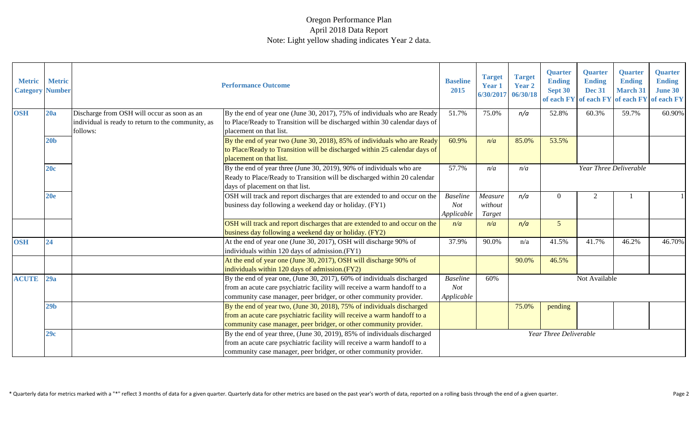| <b>Metric</b><br><b>Category</b> | <b>Metric</b><br><b>Number</b> |                                                                                                               | <b>Performance Outcome</b>                                                                                                                                                                                                 | <b>Baseline</b><br>2015                     | <b>Target</b><br><b>Year 1</b><br>6/30/2017 | <b>Target</b><br>Year 2<br>06/30/18 | <b>Quarter</b><br><b>Ending</b><br>Sept 30<br>of each FY | <b>Quarter</b><br><b>Ending</b><br><b>Dec 31</b><br>of each FY | <b>Quarter</b><br><b>Ending</b><br><b>March 31</b><br>of each FY | <b>Quarter</b><br><b>Ending</b><br><b>June 30</b><br>of each FY |
|----------------------------------|--------------------------------|---------------------------------------------------------------------------------------------------------------|----------------------------------------------------------------------------------------------------------------------------------------------------------------------------------------------------------------------------|---------------------------------------------|---------------------------------------------|-------------------------------------|----------------------------------------------------------|----------------------------------------------------------------|------------------------------------------------------------------|-----------------------------------------------------------------|
| <b>OSH</b>                       | 20a                            | Discharge from OSH will occur as soon as an<br>individual is ready to return to the community, as<br>follows: | By the end of year one (June 30, 2017), 75% of individuals who are Ready<br>to Place/Ready to Transition will be discharged within 30 calendar days of<br>placement on that list.                                          | 51.7%                                       | 75.0%                                       | n/a                                 | 52.8%                                                    | 60.3%                                                          | 59.7%                                                            | 60.90%                                                          |
|                                  | 20 <sub>b</sub>                |                                                                                                               | By the end of year two (June 30, 2018), 85% of individuals who are Ready<br>to Place/Ready to Transition will be discharged within 25 calendar days of<br>placement on that list.                                          | 60.9%                                       | n/a                                         | 85.0%                               | 53.5%                                                    |                                                                |                                                                  |                                                                 |
|                                  | 20c                            |                                                                                                               | By the end of year three (June 30, 2019), 90% of individuals who are<br>Ready to Place/Ready to Transition will be discharged within 20 calendar<br>days of placement on that list.                                        | 57.7%                                       | n/a                                         | n/a                                 |                                                          |                                                                | Year Three Deliverable                                           |                                                                 |
|                                  | 20e                            |                                                                                                               | OSH will track and report discharges that are extended to and occur on the<br>business day following a weekend day or holiday. (FY1)                                                                                       | <b>Baseline</b><br>Not<br>Applicable        | $Measure$<br>without<br>Target              | n/a                                 | $\Omega$                                                 | $\mathfrak{D}$                                                 |                                                                  |                                                                 |
|                                  |                                |                                                                                                               | OSH will track and report discharges that are extended to and occur on the<br>business day following a weekend day or holiday. (FY2)                                                                                       | n/a                                         | n/a                                         | n/a                                 | $\overline{5}$                                           |                                                                |                                                                  |                                                                 |
| <b>OSH</b>                       | 24                             |                                                                                                               | At the end of year one (June 30, 2017), OSH will discharge 90% of<br>individuals within 120 days of admission.(FY1)                                                                                                        | 37.9%                                       | 90.0%                                       | n/a                                 | 41.5%                                                    | 41.7%                                                          | 46.2%                                                            | 46.70%                                                          |
|                                  |                                |                                                                                                               | At the end of year one (June 30, 2017), OSH will discharge 90% of<br>individuals within 120 days of admission.(FY2)                                                                                                        |                                             |                                             | 90.0%                               | 46.5%                                                    |                                                                |                                                                  |                                                                 |
| <b>ACUTE</b>                     | 29a                            |                                                                                                               | By the end of year one, (June 30, 2017), 60% of individuals discharged<br>from an acute care psychiatric facility will receive a warm handoff to a<br>community case manager, peer bridger, or other community provider.   | <b>Baseline</b><br><b>Not</b><br>Applicable | 60%                                         |                                     |                                                          | Not Available                                                  |                                                                  |                                                                 |
|                                  | 29 <sub>b</sub>                |                                                                                                               | By the end of year two, (June 30, 2018), 75% of individuals discharged<br>from an acute care psychiatric facility will receive a warm handoff to a<br>community case manager, peer bridger, or other community provider.   |                                             |                                             | 75.0%                               | pending                                                  |                                                                |                                                                  |                                                                 |
|                                  | 29c                            |                                                                                                               | By the end of year three, (June 30, 2019), 85% of individuals discharged<br>from an acute care psychiatric facility will receive a warm handoff to a<br>community case manager, peer bridger, or other community provider. |                                             |                                             |                                     | Year Three Deliverable                                   |                                                                |                                                                  |                                                                 |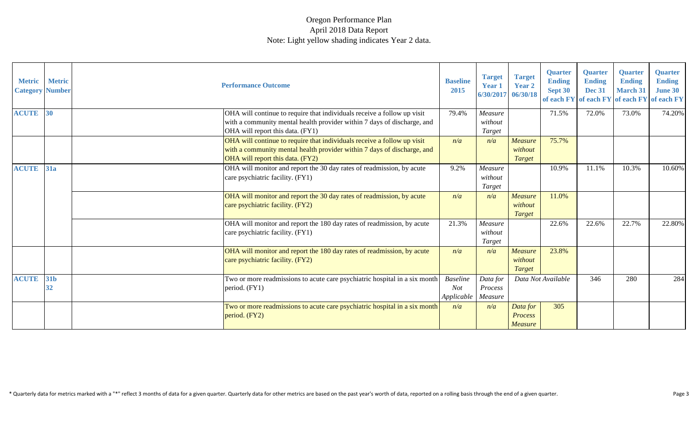| <b>Metric</b><br><b>Category Number</b> | <b>Metric</b> | <b>Performance Outcome</b>                                                                                                                                                             | <b>Baseline</b><br>2015              | <b>Target</b><br><b>Year 1</b><br>6/30/2017 | <b>Target</b><br>Year 2<br>06/30/18          | <b>Quarter</b><br><b>Ending</b><br>Sept 30<br>of each FY of each FY | <b>Quarter</b><br><b>Ending</b><br><b>Dec 31</b> | <b>Quarter</b><br><b>Ending</b><br><b>March 31</b><br>of each FY | <b>Quarter</b><br><b>Ending</b><br><b>June 30</b><br>of each FY |
|-----------------------------------------|---------------|----------------------------------------------------------------------------------------------------------------------------------------------------------------------------------------|--------------------------------------|---------------------------------------------|----------------------------------------------|---------------------------------------------------------------------|--------------------------------------------------|------------------------------------------------------------------|-----------------------------------------------------------------|
| <b>ACUTE</b>                            | 30            | OHA will continue to require that individuals receive a follow up visit<br>with a community mental health provider within 7 days of discharge, and<br>OHA will report this data. (FY1) | 79.4%                                | Measure<br>without<br>Target                |                                              | 71.5%                                                               | 72.0%                                            | 73.0%                                                            | 74.20%                                                          |
|                                         |               | OHA will continue to require that individuals receive a follow up visit<br>with a community mental health provider within 7 days of discharge, and<br>OHA will report this data. (FY2) | n/a                                  | n/a                                         | <b>Measure</b><br>without<br>Target          | 75.7%                                                               |                                                  |                                                                  |                                                                 |
| <b>ACUTE</b>                            | <b>31a</b>    | OHA will monitor and report the 30 day rates of readmission, by acute<br>care psychiatric facility. (FY1)                                                                              | 9.2%                                 | Measure<br>without<br>Target                |                                              | 10.9%                                                               | 11.1%                                            | 10.3%                                                            | 10.60%                                                          |
|                                         |               | OHA will monitor and report the 30 day rates of readmission, by acute<br>care psychiatric facility. (FY2)                                                                              | n/a                                  | n/a                                         | <b>Measure</b><br>without<br>Target          | 11.0%                                                               |                                                  |                                                                  |                                                                 |
|                                         |               | OHA will monitor and report the 180 day rates of readmission, by acute<br>care psychiatric facility. (FY1)                                                                             | 21.3%                                | Measure<br>without<br>Target                |                                              | 22.6%                                                               | 22.6%                                            | 22.7%                                                            | 22.80%                                                          |
|                                         |               | OHA will monitor and report the 180 day rates of readmission, by acute<br>care psychiatric facility. (FY2)                                                                             | n/a                                  | n/a                                         | Measure<br>without<br><b>Target</b>          | 23.8%                                                               |                                                  |                                                                  |                                                                 |
| <b>ACUTE</b>                            | 31b<br>32     | Two or more readmissions to acute care psychiatric hospital in a six month<br>period. (FY1)                                                                                            | <b>Baseline</b><br>Not<br>Applicable | Data for<br>Process<br>Measure              |                                              | Data Not Available                                                  | 346                                              | 280                                                              | 284                                                             |
|                                         |               | Two or more readmissions to acute care psychiatric hospital in a six month<br>period. (FY2)                                                                                            | n/a                                  | n/a                                         | Data for<br><b>Process</b><br><b>Measure</b> | 305                                                                 |                                                  |                                                                  |                                                                 |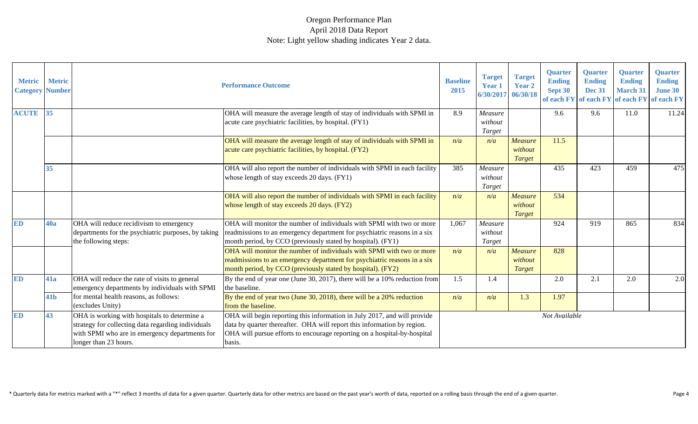| <b>Metric</b><br><b>Category</b> | <b>Metric</b><br><b>Number</b> |                                                                                                                                                                               | <b>Performance Outcome</b>                                                                                                                                                                                                                | <b>Baseline</b><br>2015 | <b>Target</b><br>Year 1<br>6/30/2017 | <b>Target</b><br><b>Year 2</b><br>06/30/18 | <b>Quarter</b><br><b>Ending</b><br>Sept 30 | <b>Quarter</b><br><b>Ending</b><br><b>Dec 31</b><br>of each FY of each FY of each FY | <b>Quarter</b><br><b>Ending</b><br><b>March 31</b> | <b>Quarter</b><br><b>Ending</b><br><b>June 30</b><br>of each FY |
|----------------------------------|--------------------------------|-------------------------------------------------------------------------------------------------------------------------------------------------------------------------------|-------------------------------------------------------------------------------------------------------------------------------------------------------------------------------------------------------------------------------------------|-------------------------|--------------------------------------|--------------------------------------------|--------------------------------------------|--------------------------------------------------------------------------------------|----------------------------------------------------|-----------------------------------------------------------------|
| <b>ACUTE</b>                     | 35                             |                                                                                                                                                                               | OHA will measure the average length of stay of individuals with SPMI in<br>acute care psychiatric facilities, by hospital. (FY1)                                                                                                          | 8.9                     | Measure<br>without<br>Target         |                                            | 9.6                                        | 9.6                                                                                  | 11.0                                               | 11.24                                                           |
|                                  |                                |                                                                                                                                                                               | OHA will measure the average length of stay of individuals with SPMI in<br>acute care psychiatric facilities, by hospital. (FY2)                                                                                                          | n/a                     | n/a                                  | Measure<br>without<br>Target               | 11.5                                       |                                                                                      |                                                    |                                                                 |
|                                  | 35                             |                                                                                                                                                                               | OHA will also report the number of individuals with SPMI in each facility<br>whose length of stay exceeds 20 days. (FY1)                                                                                                                  | 385                     | Measure<br>without<br>Target         |                                            | 435                                        | 423                                                                                  | 459                                                | 475                                                             |
|                                  |                                |                                                                                                                                                                               | OHA will also report the number of individuals with SPMI in each facility<br>whose length of stay exceeds 20 days. (FY2)                                                                                                                  | n/a                     | n/a                                  | Measure<br>without<br>Target               | 534                                        |                                                                                      |                                                    |                                                                 |
| <b>ED</b>                        | 40a                            | OHA will reduce recidivism to emergency<br>departments for the psychiatric purposes, by taking<br>the following steps:                                                        | OHA will monitor the number of individuals with SPMI with two or more<br>readmissions to an emergency department for psychiatric reasons in a six<br>month period, by CCO (previously stated by hospital). (FY1)                          | 1,067                   | Measure<br>without<br>Target         |                                            | 924                                        | 919                                                                                  | 865                                                | 834                                                             |
|                                  |                                |                                                                                                                                                                               | OHA will monitor the number of individuals with SPMI with two or more<br>readmissions to an emergency department for psychiatric reasons in a six<br>month period, by CCO (previously stated by hospital). (FY2)                          | n/a                     | n/a                                  | Measure<br>without<br>Target               | 828                                        |                                                                                      |                                                    |                                                                 |
| <b>ED</b>                        | 41a                            | OHA will reduce the rate of visits to general<br>emergency departments by individuals with SPMI                                                                               | By the end of year one (June 30, 2017), there will be a $10\%$ reduction from<br>the baseline.                                                                                                                                            | 1.5                     | 1.4                                  |                                            | 2.0                                        | 2.1                                                                                  | 2.0                                                | 2.0                                                             |
|                                  | 41 <sub>b</sub>                | for mental health reasons, as follows:<br>(excludes Unity)                                                                                                                    | By the end of year two (June 30, 2018), there will be a $20\%$ reduction<br>from the baseline.                                                                                                                                            | n/a                     | n/a                                  | 1.3                                        | 1.97                                       |                                                                                      |                                                    |                                                                 |
| <b>ED</b>                        | 43                             | OHA is working with hospitals to determine a<br>strategy for collecting data regarding individuals<br>with SPMI who are in emergency departments for<br>longer than 23 hours. | OHA will begin reporting this information in July 2017, and will provide<br>data by quarter thereafter. OHA will report this information by region.<br>OHA will pursue efforts to encourage reporting on a hospital-by-hospital<br>basis. |                         |                                      |                                            | Not Available                              |                                                                                      |                                                    |                                                                 |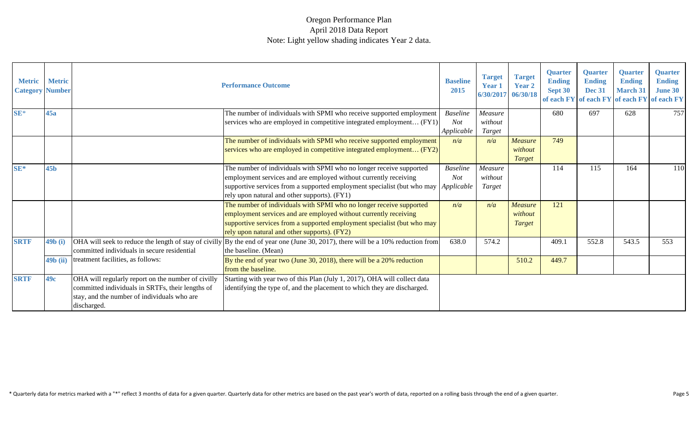| <b>Metric</b><br><b>Category Number</b> | <b>Metric</b>    |                                                                                                                                                                      | <b>Performance Outcome</b>                                                                                                                                                                                                                                                      | <b>Baseline</b><br>2015              | <b>Target</b><br><b>Year 1</b><br>6/30/2017 | <b>Target</b><br><b>Year 2</b><br>06/30/18 | <b>Quarter</b><br><b>Ending</b><br>Sept 30<br>of each FY of each FY | <b>Ouarter</b><br><b>Ending</b><br><b>Dec 31</b> | <b>Ouarter</b><br><b>Ending</b><br><b>March 31</b> | <b>Quarter</b><br><b>Ending</b><br><b>June 30</b><br>of each FY of each FY |
|-----------------------------------------|------------------|----------------------------------------------------------------------------------------------------------------------------------------------------------------------|---------------------------------------------------------------------------------------------------------------------------------------------------------------------------------------------------------------------------------------------------------------------------------|--------------------------------------|---------------------------------------------|--------------------------------------------|---------------------------------------------------------------------|--------------------------------------------------|----------------------------------------------------|----------------------------------------------------------------------------|
| $SE*$                                   | 45a              |                                                                                                                                                                      | The number of individuals with SPMI who receive supported employment<br>services who are employed in competitive integrated employment (FY1)                                                                                                                                    | <b>Baseline</b><br>Not<br>Applicable | Measure<br>without<br>Target                |                                            | 680                                                                 | 697                                              | 628                                                | 757                                                                        |
|                                         |                  |                                                                                                                                                                      | The number of individuals with SPMI who receive supported employment<br>services who are employed in competitive integrated employment (FY2)                                                                                                                                    | n/a                                  | n/a                                         | <b>Measure</b><br>without<br><b>Target</b> | 749                                                                 |                                                  |                                                    |                                                                            |
| $SE*$                                   | 45 <sub>b</sub>  |                                                                                                                                                                      | The number of individuals with SPMI who no longer receive supported<br>employment services and are employed without currently receiving<br>supportive services from a supported employment specialist (but who may   Applicable<br>rely upon natural and other supports). (FY1) | <b>Baseline</b><br>Not               | Measure<br>without<br>Target                |                                            | 114                                                                 | 115                                              | 164                                                | 110                                                                        |
|                                         |                  |                                                                                                                                                                      | The number of individuals with SPMI who no longer receive supported<br>employment services and are employed without currently receiving<br>supportive services from a supported employment specialist (but who may<br>rely upon natural and other supports). (FY2)              | n/a                                  | n/a                                         | <b>Measure</b><br>without<br>Target        | 121                                                                 |                                                  |                                                    |                                                                            |
| <b>SRTF</b>                             | 49b(i)           | committed individuals in secure residential                                                                                                                          | OHA will seek to reduce the length of stay of civilly $\vert$ By the end of year one (June 30, 2017), there will be a 10% reduction from<br>the baseline. (Mean)                                                                                                                | 638.0                                | 574.2                                       |                                            | 409.                                                                | 552.8                                            | 543.5                                              | 553                                                                        |
|                                         | 49 <b>b</b> (ii) | treatment facilities, as follows:                                                                                                                                    | By the end of year two (June 30, 2018), there will be a 20% reduction<br>from the baseline.                                                                                                                                                                                     |                                      |                                             | 510.2                                      | 449.7                                                               |                                                  |                                                    |                                                                            |
| <b>SRTF</b>                             | 49c              | OHA will regularly report on the number of civilly<br>committed individuals in SRTFs, their lengths of<br>stay, and the number of individuals who are<br>discharged. | Starting with year two of this Plan (July 1, 2017), OHA will collect data<br>identifying the type of, and the placement to which they are discharged.                                                                                                                           |                                      |                                             |                                            |                                                                     |                                                  |                                                    |                                                                            |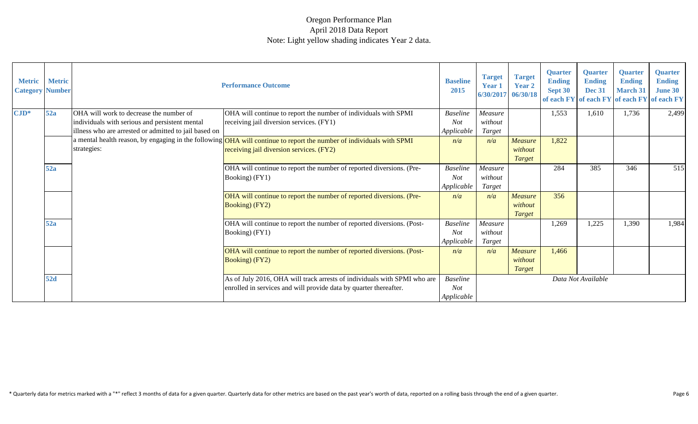| <b>Metric</b><br><b>Category Number</b> | <b>Metric</b> |                                                                                                                                                                               | <b>Performance Outcome</b>                                                                                                                    | <b>Baseline</b><br>2015                     | <b>Target</b><br>Year 1<br>6/30/2017 | <b>Target</b><br><b>Year 2</b><br>06/30/18 | <b>Quarter</b><br><b>Ending</b><br>Sept 30 | <b>Quarter</b><br><b>Ending</b><br><b>Dec 31</b> | <b>Quarter</b><br><b>Ending</b><br><b>March 31</b> | <b>Quarter</b><br><b>Ending</b><br><b>June 30</b><br>of each FY of each FY of each FY of each FY |
|-----------------------------------------|---------------|-------------------------------------------------------------------------------------------------------------------------------------------------------------------------------|-----------------------------------------------------------------------------------------------------------------------------------------------|---------------------------------------------|--------------------------------------|--------------------------------------------|--------------------------------------------|--------------------------------------------------|----------------------------------------------------|--------------------------------------------------------------------------------------------------|
| $\text{CID*}$                           | 52a           | OHA will work to decrease the number of<br>individuals with serious and persistent mental<br>illness who are arrested or admitted to jail based on                            | OHA will continue to report the number of individuals with SPMI<br>receiving jail diversion services. (FY1)                                   | <b>Baseline</b><br><b>Not</b><br>Applicable | Measure<br>without<br>Target         |                                            | 1,553                                      | 1,610                                            | 1,736                                              | 2,499                                                                                            |
|                                         | strategies:   | a mental health reason, by engaging in the following <mark>OHA will continue to report the number of individuals with SPMI</mark><br>receiving jail diversion services. (FY2) | n/a                                                                                                                                           | n/a                                         | Measure<br>without<br><b>Target</b>  | 1,822                                      |                                            |                                                  |                                                    |                                                                                                  |
|                                         | 52a           |                                                                                                                                                                               | OHA will continue to report the number of reported diversions. (Pre-<br>Booking) (FY1)                                                        | <b>Baseline</b><br>Not<br>Applicable        | Measure<br>without<br>Target         |                                            | 284                                        | 385                                              | 346                                                | 515                                                                                              |
|                                         |               |                                                                                                                                                                               | OHA will continue to report the number of reported diversions. (Pre-<br>Booking) (FY2)                                                        | n/a                                         | n/a                                  | <b>Measure</b><br>without<br><b>Target</b> | 356                                        |                                                  |                                                    |                                                                                                  |
|                                         | 52a           |                                                                                                                                                                               | OHA will continue to report the number of reported diversions. (Post-<br>Booking) (FY1)                                                       | <b>Baseline</b><br><b>Not</b><br>Applicable | Measure<br>without<br>Target         |                                            | 1,269                                      | 1,225                                            | 1,390                                              | 1,984                                                                                            |
|                                         |               |                                                                                                                                                                               | OHA will continue to report the number of reported diversions. (Post-<br>Booking) (FY2)                                                       | n/a                                         | n/a                                  | <b>Measure</b><br>without<br>Target        | 1,466                                      |                                                  |                                                    |                                                                                                  |
|                                         | 52d           |                                                                                                                                                                               | As of July 2016, OHA will track arrests of individuals with SPMI who are<br>enrolled in services and will provide data by quarter thereafter. | <b>Baseline</b><br><b>Not</b><br>Applicable |                                      |                                            |                                            | Data Not Available                               |                                                    |                                                                                                  |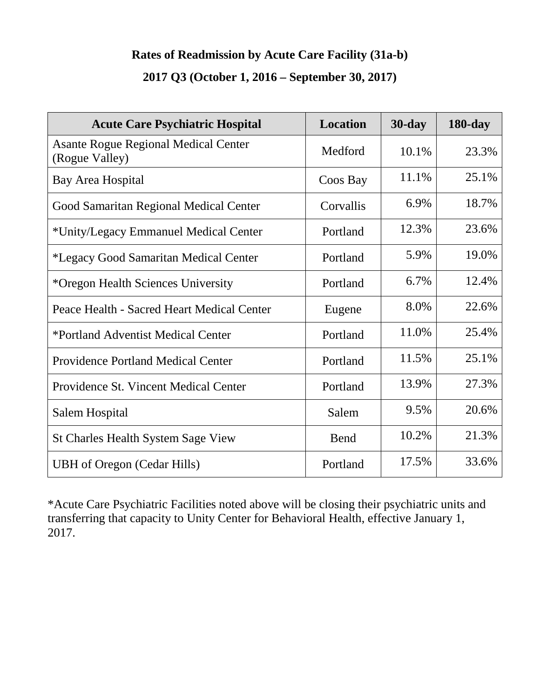### **Rates of Readmission by Acute Care Facility (31a-b)**

## **2017 Q3 (October 1, 2016 – September 30, 2017)**

| <b>Acute Care Psychiatric Hospital</b>                        | <b>Location</b> | $30$ -day | <b>180-day</b> |
|---------------------------------------------------------------|-----------------|-----------|----------------|
| <b>Asante Rogue Regional Medical Center</b><br>(Rogue Valley) | Medford         | 10.1%     | 23.3%          |
| Bay Area Hospital                                             | Coos Bay        | 11.1%     | 25.1%          |
| Good Samaritan Regional Medical Center                        | Corvallis       | 6.9%      | 18.7%          |
| *Unity/Legacy Emmanuel Medical Center                         | Portland        | 12.3%     | 23.6%          |
| *Legacy Good Samaritan Medical Center                         | Portland        | 5.9%      | 19.0%          |
| *Oregon Health Sciences University                            | Portland        | 6.7%      | 12.4%          |
| Peace Health - Sacred Heart Medical Center                    | Eugene          | 8.0%      | 22.6%          |
| *Portland Adventist Medical Center                            | Portland        | 11.0%     | 25.4%          |
| <b>Providence Portland Medical Center</b>                     | Portland        | 11.5%     | 25.1%          |
| Providence St. Vincent Medical Center                         | Portland        | 13.9%     | 27.3%          |
| Salem Hospital                                                | Salem           | 9.5%      | 20.6%          |
| <b>St Charles Health System Sage View</b>                     | Bend            | 10.2%     | 21.3%          |
| <b>UBH</b> of Oregon (Cedar Hills)                            | Portland        | 17.5%     | 33.6%          |

\*Acute Care Psychiatric Facilities noted above will be closing their psychiatric units and transferring that capacity to Unity Center for Behavioral Health, effective January 1, 2017.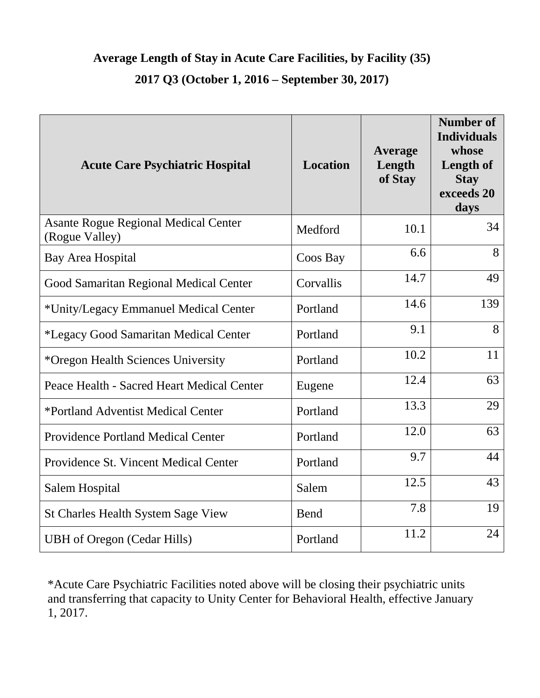## **Average Length of Stay in Acute Care Facilities, by Facility (35) 2017 Q3 (October 1, 2016 – September 30, 2017)**

| <b>Acute Care Psychiatric Hospital</b>                        | <b>Location</b> | <b>Average</b><br>Length<br>of Stay | <b>Number of</b><br><b>Individuals</b><br>whose<br>Length of<br><b>Stay</b><br>exceeds 20<br>days |
|---------------------------------------------------------------|-----------------|-------------------------------------|---------------------------------------------------------------------------------------------------|
| <b>Asante Rogue Regional Medical Center</b><br>(Rogue Valley) | Medford         | 10.1                                | 34                                                                                                |
| <b>Bay Area Hospital</b>                                      | Coos Bay        | 6.6                                 | 8                                                                                                 |
| <b>Good Samaritan Regional Medical Center</b>                 | Corvallis       | 14.7                                | 49                                                                                                |
| *Unity/Legacy Emmanuel Medical Center                         | Portland        | 14.6                                | 139                                                                                               |
| *Legacy Good Samaritan Medical Center                         | Portland        | 9.1                                 | 8                                                                                                 |
| *Oregon Health Sciences University                            | Portland        | 10.2                                | 11                                                                                                |
| Peace Health - Sacred Heart Medical Center                    | Eugene          | 12.4                                | 63                                                                                                |
| *Portland Adventist Medical Center                            | Portland        | 13.3                                | 29                                                                                                |
| <b>Providence Portland Medical Center</b>                     | Portland        | 12.0                                | 63                                                                                                |
| Providence St. Vincent Medical Center                         | Portland        | 9.7                                 | 44                                                                                                |
| <b>Salem Hospital</b>                                         | Salem           | 12.5                                | 43                                                                                                |
| <b>St Charles Health System Sage View</b>                     | Bend            | 7.8                                 | 19                                                                                                |
| <b>UBH</b> of Oregon (Cedar Hills)                            | Portland        | 11.2                                | 24                                                                                                |

\*Acute Care Psychiatric Facilities noted above will be closing their psychiatric units and transferring that capacity to Unity Center for Behavioral Health, effective January 1, 2017.